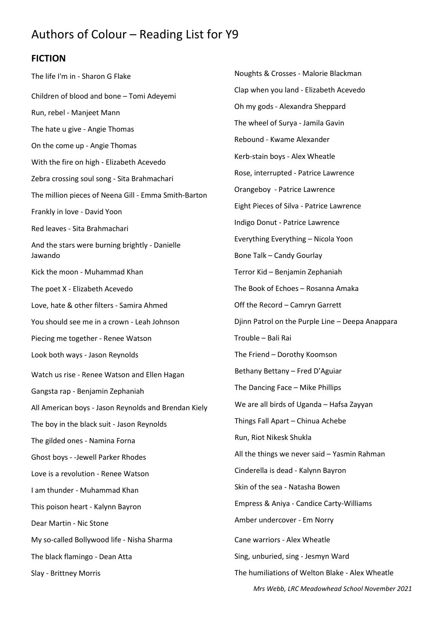## Authors of Colour – Reading List for Y9

## **FICTION**

The life I'm in - Sharon G Flake Children of blood and bone – Tomi Adeyemi Run, rebel - Manjeet Mann The hate u give - Angie Thomas On the come up - Angie Thomas With the fire on high - Elizabeth Acevedo Zebra crossing soul song - Sita Brahmachari The million pieces of Neena Gill - Emma Smith-Barton Frankly in love - David Yoon Red leaves - Sita Brahmachari And the stars were burning brightly - Danielle Jawando Kick the moon - Muhammad Khan The poet X - Elizabeth Acevedo Love, hate & other filters - Samira Ahmed You should see me in a crown - Leah Johnson Piecing me together - Renee Watson Look both ways - Jason Reynolds Watch us rise - Renee Watson and Ellen Hagan Gangsta rap - Benjamin Zephaniah All American boys - Jason Reynolds and Brendan Kiely The boy in the black suit - Jason Reynolds The gilded ones - Namina Forna Ghost boys - -Jewell Parker Rhodes Love is a revolution - Renee Watson I am thunder - Muhammad Khan This poison heart - Kalynn Bayron Dear Martin - Nic Stone My so-called Bollywood life - Nisha Sharma The black flamingo - Dean Atta Slay - Brittney Morris

*Mrs Webb, LRC Meadowhead School November 2021* Noughts & Crosses - Malorie Blackman Clap when you land - Elizabeth Acevedo Oh my gods - Alexandra Sheppard The wheel of Surya - Jamila Gavin Rebound - Kwame Alexander Kerb-stain boys - Alex Wheatle Rose, interrupted - Patrice Lawrence Orangeboy - Patrice Lawrence Eight Pieces of Silva - Patrice Lawrence Indigo Donut - Patrice Lawrence Everything Everything – Nicola Yoon Bone Talk – Candy Gourlay Terror Kid – Benjamin Zephaniah The Book of Echoes – Rosanna Amaka Off the Record – Camryn Garrett Djinn Patrol on the Purple Line – Deepa Anappara Trouble – Bali Rai The Friend – Dorothy Koomson Bethany Bettany – Fred D'Aguiar The Dancing Face – Mike Phillips We are all birds of Uganda – Hafsa Zayyan Things Fall Apart – Chinua Achebe Run, Riot Nikesk Shukla All the things we never said – Yasmin Rahman Cinderella is dead - Kalynn Bayron Skin of the sea - Natasha Bowen Empress & Aniya - Candice Carty-Williams Amber undercover - Em Norry Cane warriors - Alex Wheatle Sing, unburied, sing - Jesmyn Ward The humiliations of Welton Blake - Alex Wheatle